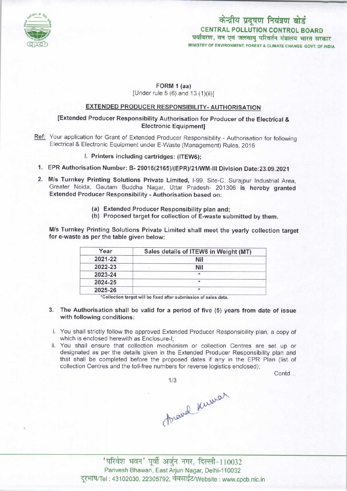

# पर्यावरण, वन एवं जलवायु परिवर्तन मंत्रालय भारत सरकार MINISTRY OF ENVIRONMENT, FOREST & CLIMATE CHANGE GOVT. OF INDIA केन्द्रीय प्रदूषण नियंत्रण बोर्ड CENTRAL POLLUTION CONTROL BOARD

## FORM 1 (aa) [Under rule 5 (6) and 13 (1)(ii)]

## EXTENDED PRODUCER RESPONSIBILITY-AUTHORISATION

## [Extended Producer Responsibility Authorisation for Producer of the Electrical & Electronic Equipment]

Ref: Your application for Grant of Extended Producer Responsibility - Authorisation for following Electrical & Electronic Equipment under E-Waste (Management) Rules, 2016

### I. Printers including cartridges: (ITEW6);

- 1.EPR Authorisation Number: B- 29016(2165)/(EPR)/21/WM-lll Division Date:23.09.2021
- 2.M/s Turnkey Printing Solutions Private Limited, I-99, Site-C, Surajpur Industrial Area, Greater Noida, Gautam Buddha Nagar, Uttar Pradesh- 201306 is hereby granted Extended Producer Responsibility • Authorisation based on:
	- (a)Extended Producer Responsibility plan and;
	- (b) Proposed target for collection of E-waste submitted by them.

M/s Turnkey Printing Solutions Private Limited shall meet the yearly collection target for e-waste as per the table given below:

| Year    | Sales details of ITEW6 in Weight (MT) |
|---------|---------------------------------------|
| 2021-22 | Nil                                   |
| 2022-23 | Nil                                   |
| 2023-24 | $\star$                               |
| 2024-25 | $\star$                               |
| 2025-26 |                                       |

\*Collection target will be fixed after submission of sales data

- 3. The Authorisation shall be valid for a period of five (5) yearsfrom date of issue with following conditions:
- i. You shall strictly follow the approved Extended Producer Responsibility plan, a copy of which is enclosed herewith as Enclosure-I;
- ii. You shall ensure that collection mechanism or collection Centres are set up or designated as per the details given in the Extended Producer Responsibility plan and that shall be completed before the proposed dates if any in the EPR Plan (list of collection Centres and the toll-free numbers for reverse logistics enclosed);

Contd...

thraud Kuwar

'परिवेश भवन' पूर्वी अर्जुन नगर, दिल्ली-110032 Parivesh Bhawan, EastArjun Nagar, Delhi-110032 दूरभाष/Tel: 43102030, 22305792, वेबसाईट/Website : www.cpcb.nic.in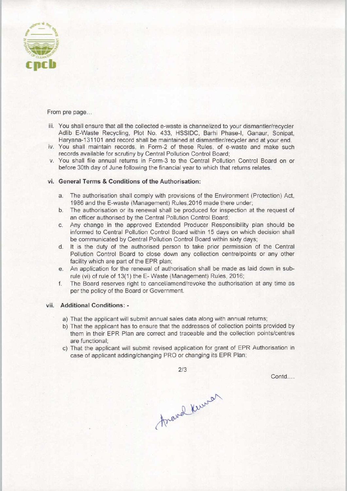

#### From pre page...

- iii. You shall ensure that all the collected e-waste is channelized to your dismantler/recycler Adlib E-Waste Recycling. Plot No. 433, HSSIDC, Barhi Phase-I, Ganaur, Sonipat, Haryana-131101 and record shall be maintained at dismantler/recycler and at your end.
- iv. You shall maintain records, in Form-2 of these Rules, of e-waste and make such records available for scrutiny by Central Pollution Control Board;
- v. You shall file annual returns in Form-3 to the Central Pollution Control Board on or before 30th day of June following the financial year to which that returns relates.

#### vi. General Terms & Conditions of the Authorisation:

- a.The authorisation shall comply with provisions ofthe Environment (Protection) Act, 1986 and the E-waste (Management) Rules,2016 made there under;
- b.The authorisation or its renewal shall be produced for inspection at the request of an officer authorised by the Central Pollution Control Board;
- c.Any change in the approved Extended Producer Responsibility plan should be informed to Central Pollution Control Board within 15 days on which decision shall be communicated by Central Pollution Control Board within sixty days;
- d. It is the duty of the authorised person to take prior permission of the Central Pollution Control Board to close down any collection centre/points or any other facility which are part of the EPR plan;
- e.An application for the renewal of authorisation shall be made aslaid down in subrule (vi) of rule of 13(1) the E- Waste (Management) Rules, 2016;
- f. The Board reserves right to cancel/amend/revoke the authorisation at any time as per the policy of the Board or Government.

### vii. Additional Conditions: -

- a) That the applicant will submit annual sales data along with annual returns;
- b) That the applicant has to ensure that the addresses of collection points provided by them in their EPR Plan are correct and traceable and the collection points/centres are functional;
- c) That the applicant will submit revised application for grant of EPR Authorisation in case of applicant adding/changing PRO or changing its EPR Plan;

2/3

Contd....

Arand Kurren